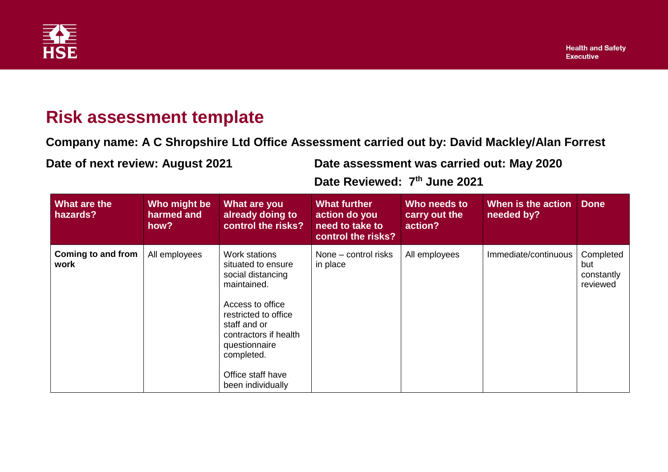

## **Risk assessment template**

**Company name: A C Shropshire Ltd Office Assessment carried out by: David Mackley/Alan Forrest**

**Date of next review: August 2021 Date assessment was carried out: May 2020**

**Date Reviewed: 7 th June 2021**

| What are the<br>hazards?   | Who might be<br>harmed and<br>how? | What are you<br>already doing to<br>control the risks?                                                                                                                                                                                | <b>What further</b><br>action do you<br>need to take to<br>control the risks? | Who needs to<br>carry out the<br>action? | When is the action<br>needed by? | <b>Done</b>                                |
|----------------------------|------------------------------------|---------------------------------------------------------------------------------------------------------------------------------------------------------------------------------------------------------------------------------------|-------------------------------------------------------------------------------|------------------------------------------|----------------------------------|--------------------------------------------|
| Coming to and from<br>work | All employees                      | Work stations<br>situated to ensure<br>social distancing<br>maintained.<br>Access to office<br>restricted to office<br>staff and or<br>contractors if health<br>questionnaire<br>completed.<br>Office staff have<br>been individually | None – control risks<br>in place                                              | All employees                            | Immediate/continuous             | Completed<br>but<br>constantly<br>reviewed |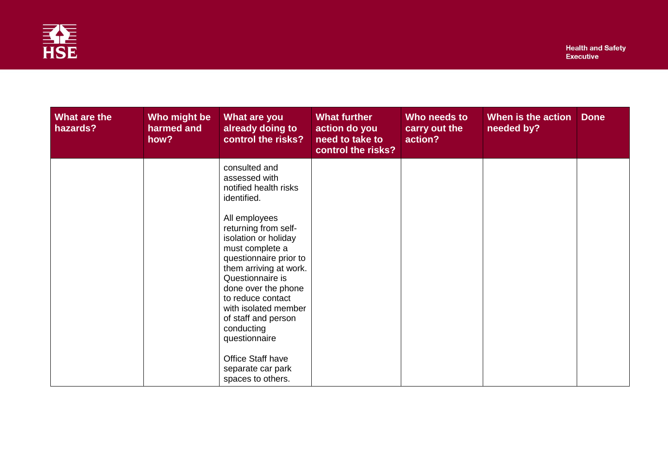

| What are the<br>hazards? | Who might be<br>harmed and<br>how? | What are you<br>already doing to<br>control the risks?                                                                                                                                                                                                                                                                                                                                                 | <b>What further</b><br>action do you<br>need to take to<br>control the risks? | Who needs to<br>carry out the<br>action? | When is the action<br>needed by? | <b>Done</b> |
|--------------------------|------------------------------------|--------------------------------------------------------------------------------------------------------------------------------------------------------------------------------------------------------------------------------------------------------------------------------------------------------------------------------------------------------------------------------------------------------|-------------------------------------------------------------------------------|------------------------------------------|----------------------------------|-------------|
|                          |                                    | consulted and<br>assessed with<br>notified health risks<br>identified.<br>All employees<br>returning from self-<br>isolation or holiday<br>must complete a<br>questionnaire prior to<br>them arriving at work.<br>Questionnaire is<br>done over the phone<br>to reduce contact<br>with isolated member<br>of staff and person<br>conducting<br>questionnaire<br>Office Staff have<br>separate car park |                                                                               |                                          |                                  |             |
|                          |                                    | spaces to others.                                                                                                                                                                                                                                                                                                                                                                                      |                                                                               |                                          |                                  |             |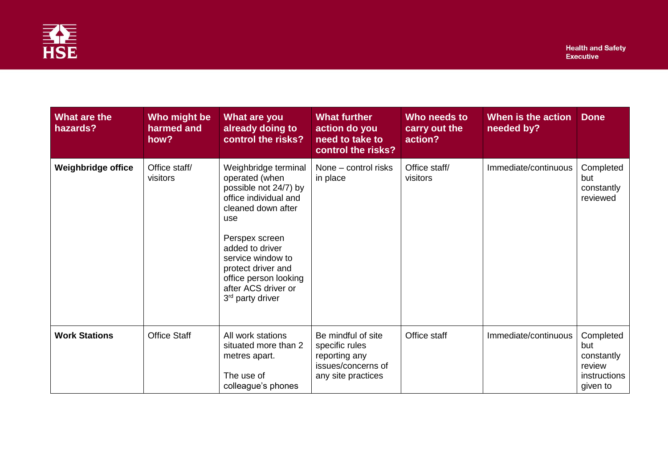

| What are the<br>hazards?  | Who might be<br>harmed and<br>how? | What are you<br>already doing to<br>control the risks?                                                                                                                                                                                                                                | <b>What further</b><br>action do you<br>need to take to<br>control the risks?                     | Who needs to<br>carry out the<br>action? | When is the action<br>needed by? | <b>Done</b>                                                          |
|---------------------------|------------------------------------|---------------------------------------------------------------------------------------------------------------------------------------------------------------------------------------------------------------------------------------------------------------------------------------|---------------------------------------------------------------------------------------------------|------------------------------------------|----------------------------------|----------------------------------------------------------------------|
| <b>Weighbridge office</b> | Office staff/<br>visitors          | Weighbridge terminal<br>operated (when<br>possible not 24/7) by<br>office individual and<br>cleaned down after<br>use<br>Perspex screen<br>added to driver<br>service window to<br>protect driver and<br>office person looking<br>after ACS driver or<br>3 <sup>rd</sup> party driver | None - control risks<br>in place                                                                  | Office staff/<br>visitors                | Immediate/continuous             | Completed<br>but<br>constantly<br>reviewed                           |
| <b>Work Stations</b>      | <b>Office Staff</b>                | All work stations<br>situated more than 2<br>metres apart.<br>The use of<br>colleague's phones                                                                                                                                                                                        | Be mindful of site<br>specific rules<br>reporting any<br>issues/concerns of<br>any site practices | Office staff                             | Immediate/continuous             | Completed<br>but<br>constantly<br>review<br>instructions<br>given to |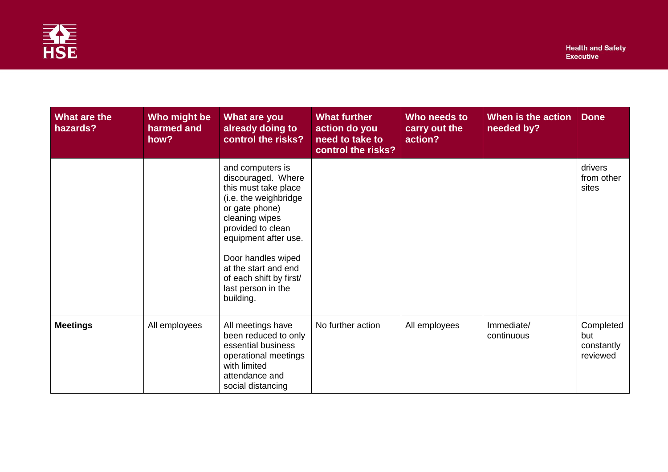

| What are the<br>hazards? | Who might be<br>harmed and<br>how? | What are you<br>already doing to<br>control the risks?                                                                                                                                                                                                                               | <b>What further</b><br>action do you<br>need to take to<br>control the risks? | Who needs to<br>carry out the<br>action? | When is the action<br>needed by? | <b>Done</b>                                |
|--------------------------|------------------------------------|--------------------------------------------------------------------------------------------------------------------------------------------------------------------------------------------------------------------------------------------------------------------------------------|-------------------------------------------------------------------------------|------------------------------------------|----------------------------------|--------------------------------------------|
|                          |                                    | and computers is<br>discouraged. Where<br>this must take place<br>(i.e. the weighbridge<br>or gate phone)<br>cleaning wipes<br>provided to clean<br>equipment after use.<br>Door handles wiped<br>at the start and end<br>of each shift by first/<br>last person in the<br>building. |                                                                               |                                          |                                  | drivers<br>from other<br>sites             |
| <b>Meetings</b>          | All employees                      | All meetings have<br>been reduced to only<br>essential business<br>operational meetings<br>with limited<br>attendance and<br>social distancing                                                                                                                                       | No further action                                                             | All employees                            | Immediate/<br>continuous         | Completed<br>but<br>constantly<br>reviewed |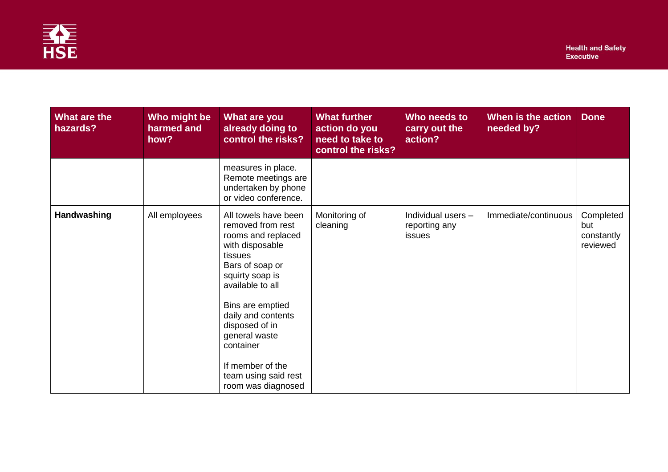

| What are the<br>hazards? | Who might be<br>harmed and<br>how? | What are you<br>already doing to<br>control the risks?                                                                                                                                                                                                                                                              | <b>What further</b><br>action do you<br>need to take to<br>control the risks? | Who needs to<br>carry out the<br>action?             | When is the action<br>needed by? | <b>Done</b>                                |
|--------------------------|------------------------------------|---------------------------------------------------------------------------------------------------------------------------------------------------------------------------------------------------------------------------------------------------------------------------------------------------------------------|-------------------------------------------------------------------------------|------------------------------------------------------|----------------------------------|--------------------------------------------|
|                          |                                    | measures in place.<br>Remote meetings are<br>undertaken by phone<br>or video conference.                                                                                                                                                                                                                            |                                                                               |                                                      |                                  |                                            |
| Handwashing              | All employees                      | All towels have been<br>removed from rest<br>rooms and replaced<br>with disposable<br>tissues<br>Bars of soap or<br>squirty soap is<br>available to all<br>Bins are emptied<br>daily and contents<br>disposed of in<br>general waste<br>container<br>If member of the<br>team using said rest<br>room was diagnosed | Monitoring of<br>cleaning                                                     | Individual users -<br>reporting any<br><i>issues</i> | Immediate/continuous             | Completed<br>but<br>constantly<br>reviewed |